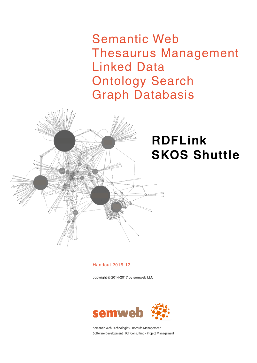Semantic Web Thesaurus Management Linked Data Ontology Search Graph Databasis



# **RDFLink SKOS Shuttle**

Handout 2016-12

copyright © 2014-2017 by semweb LLC



Semantic Web Technologies · Records Management Software Development · ICT Consulting · Project Management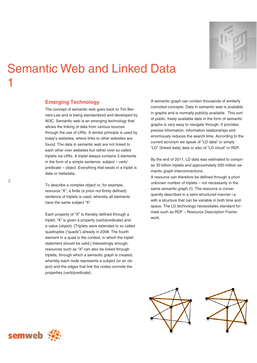

# Semantic Web and Linked Data 1

# **Emerging Technology**

The concept of semantic web goes back to Tim Berners-Lee and is being standardized and developed by W3C. Semantic web is an emerging technology that allows the linking of data from various sources through the use of URIs. A similar principle is used by today's websites, where links to other websites are found. The data in semantic web are not linked to each other over websites but rather over so called triplets via URIs. A triplet always contains 3 elements in the form of a simple sentence: subject – verb/ predicate – object. Everything that exists in a triplet is data or metadata.

To describe a complex object or, for example, resource "X", a finite (a priori not firmly defined) sentence of triplets is used, whereby all elements have the same subject "X".

Each property of "X" is thereby defined through a triplet; "X" is given a property (verb/predicate) and a value (object). [Triplets were extended to so called quadruples ("quads") already in 2008. The fourth element in a quad is the context, in which the triplet statement should be valid.] Interestingly enough, resources such as "X" can also be linked through triplets, through which a semantic graph is created, whereby each node represents a subject (or an object) and the edges that link the nodes connote the properties (verb/predicate).

A semantic graph can contain thousands of similarly connoted concepts. Data in semantic web is available in graphs and is normally publicly available. This sort of public, freely available data in the form of semantic graphs is very easy to navigate through. It provides precise information, information relationships and enormously reduces the search time. According to the current acronym we speak of "LD data" or simply "LD" (linked data) data or also of "LD cloud" or RDF.

By the end of 2011, LD data was estimated to comprise 30 billion triplets and approximately 500 million semantic graph interconnections.

A resource can therefore be defined through a priori unknown number of triplets – not necessarily in the same semantic graph (!). The resource is consequently described in a semi-structured manner i.e. with a structure that can be variable in both time and space. The LD technology necessitates standard formats such as RDF – Resource Description Framework.





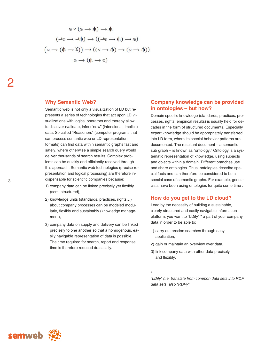$$
\varnothing \to (\psi \to \varnothing)
$$
  
\n
$$
(\varnothing \to (\psi \to \chi)) \to ((\varnothing \to \psi) \to (\varnothing \to \psi))
$$
  
\n
$$
(\neg \varnothing \to \neg \psi) \to ((\neg \varnothing \to \psi) \to \varnothing)
$$
  
\n
$$
\varnothing \land (\varnothing \to \psi) \to \psi
$$

### **Why Semantic Web?**

Semantic web is not only a visualization of LD but represents a series of technologies that act upon LD visualizations with logical operators and thereby allow to discover (validate, infer) "new" (intensional, implicit) data. So called "Reasoners" (computer programs that can process semantic web or LD representation formats) can find data within semantic graphs fast and safely, where otherwise a simple search query would deliver thousands of search results. Complex problems can be quickly and efficiently resolved through this approach. Semantic web technologies (precise representation and logical processing) are therefore indispensable for scientific companies because:

- 1) company data can be linked precisely yet flexibly (semi-structured),
- 2) knowledge units (standards, practices, rights…) about company processes can be modeled modularly, flexibly and sustainably (knowledge management),
- 3) company data on supply and delivery can be linked precisely to one another so that a homogenous, easily navigable representation of data is possible. The time required for search, report and response time is therefore reduced drastically.

### **Company knowledge can be provided in ontologies – but how?**

Domain specific knowledge (standards, practices, processes, rights, empirical results) is usually held for decades in the form of structured documents. Especially expert knowledge should be appropriately transferred into LD form, where its special behavior patterns are documented. The resultant document – a semantic sub graph – is known as "ontology." Ontology is a systematic representation of knowledge, using subjects and objects within a domain. Different branches use and share ontologies. Thus, ontologies describe special facts and can therefore be considered to be a special case of semantic graphs. For example, geneticists have been using ontologies for quite some time .

### **How do you get to the LD cloud?**

Lead by the necessity of building a sustainable, clearly structured and easily navigable information platform, you want to "LDify" \* a part of your company data in order to be able to:

- 1) carry out precise searches through easy application,
- 2) gain or maintain an overview over data,

*\** 

3) link company data with other data precisely and flexibly.

*"LDify" (i.e. translate from common data sets into RDF data sets, also "RDFy"* 

2

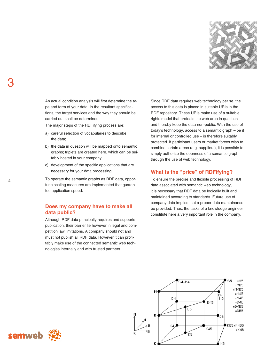

An actual condition analysis will first determine the type and form of your data. In the resultant specifications, the target services and the way they should be carried out shall be determined.

The major steps of the RDFifying process are:

- a) careful selection of vocabularies to describe the data;
- b) the data in question will be mapped onto semantic graphs; triplets are created here, which can be suitably hosted in your company
- c) development of the specific applications that are necessary for your data processing.

To operate the semantic graphs as RDF data, opportune scaling measures are implemented that guarantee application speed.

# **Does my company have to make all data public?**

Although RDF data principally requires and supports publication, their barrier lie however in legal and competition law limitations. A company should not and must not publish all RDF data. However it can profitably make use of the connected semantic web technologies internally and with trusted partners.

Since RDF data requires web technology per se, the access to this data is placed in suitable URIs in the RDF repository. These URIs make use of a suitable rights model that protects the web area in question and thereby keep the data non-public. With the use of today's technology, access to a semantic graph – be it for internal or controlled use – is therefore suitably protected. If participant users or market forces wish to combine certain areas (e.g. suppliers), it is possible to simply authorize the openness of a semantic graph through the use of web technology.

# **What is the "price" of RDFifying?**

To ensure the precise and flexible processing of RDF data associated with semantic web technology, it is necessary that RDF data be logically built and maintained according to standards. Future use of company data implies that a proper data mantainance be provided. Thus, the tasks of a knowledge engineer constitute here a very important role in the company.



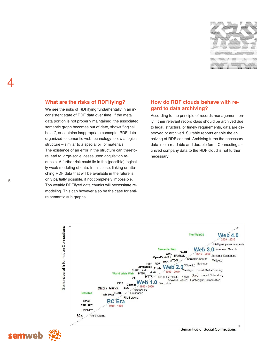

## **What are the risks of RDFifying?**

We see the risks of RDFifying fundamentally in an inconsistent state of RDF data over time. If the meta data portion is not properly maintained, the associated semantic graph becomes out of date, shows "logical holes", or contains inappropriate concepts. RDF data organized to semantic web technology follow a logical structure – similar to a special bill of materials. The existence of an error in the structure can therefore lead to large-scale losses upon acquisition requests. A further risk could lie in the (possible) logically weak modeling of data. In this case, linking or attaching RDF data that will be available in the future is only partially possible, if not completely impossible. Too weakly RDFifyed data chunks will necessitate remodeling. This can however also be the case for entire semantic sub graphs.

# **How do RDF clouds behave with regard to data archiving?**

According to the principle of records management, only if their relevant record class should be archived due to legal, structural or timely requirements, data are destroyed or archived. Suitable reports enable the archiving of RDF content. Archiving turns the necessary data into a readable and durable form. Connecting archived company data to the RDF cloud is not further necessary.



semweb

Semantics of Social Connections

4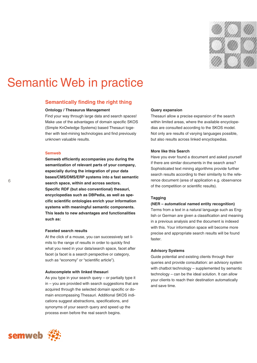

# Semantic Web in practice

## **Semantically finding the right thing**

#### **Ontology / Thesaurus Management**

Find your way through large data and search spaces! Make use of the advantages of domain specific SKOS (Simple KnOwledge Systems) based Thesauri together with text-mining technologies and find previously unknown valuable results.

### **Semweb**

**Semweb efficiently accompanies you during the semantization of relevant parts of your company, especially during the integration of your data bases/CMS/DMS/ERP systems into a fast semantic search space, within and across sectors. Specific RDF (but also conventional) thesauri, encyclopedias such as DBPedia, as well as specific scientific ontologies enrich your information systems with meaningful semantic components. This leads to new advantages and functionalities such as:** 

#### **Faceted search results**

At the click of a mouse, you can successively set limits to the range of results in order to quickly find what you need in your data/search space, facet after facet (a facet is a search perspective or category, such as "economy" or "scientific article").

#### **Autocomplete with linked thesauri**

As you type in your search query – or partially type it in – you are provided with search suggestions that are acquired through the selected domain specific or domain encompassing Thesauri. Additional SKOS indications suggest abstractions, specifications, and synonyms of your search query and speed up the process even before the real search begins.

### **Query expansion**

Thesauri allow a precise expansion of the search within limited areas, where the available encyclopedias are consulted according to the SKOS model. Not only are results of varying languages possible, but also results across linked encyclopedias.

#### **More like this Search**

Have you ever found a document and asked yourself if there are similar documents in the search area? Sophisticated text mining algorithms provide further search results according to their similarity to the reference document (area of application e.g. observance of the competition or scientific results).

#### **Tagging**

#### **(NER – automatical named entity recognition)**

Terms from a text in a natural language such as English or German are given a classification and meaning in a previous analysis and the document is indexed with this. Your information space will become more precise and appropriate search results will be found faster.

#### **Advisory Systems**

Guide potential and existing clients through their queries and provide consultation: an advisory system with chatbot technology – supplemented by semantic technology – can be the ideal solution. It can allow your clients to reach their destination automatically and save time.

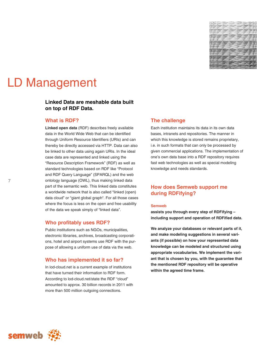

# LD Management

# **Linked Data are meshable data built on top of RDF Data.**

### **What is RDF?**

**Linked open data** (RDF) describes freely available data in the World Wide Web that can be identified through Uniform Resource Identifiers (URIs) and can thereby be directly accessed via HTTP. Data can also be linked to other data using again URIs. In the ideal case data are represented and linked using the "Resource Description Framework" (RDF) as well as standard technologies based on RDF like "Protocol and RDF Query Language" (SPARQL) and the web ontology language (OWL), thus making linked data part of the semantic web. This linked data constitutes a worldwide network that is also called "linked (open) data cloud" or "giant global graph". For all those cases where the focus is less on the open and free usability of the data we speak simply of "linked data".

### **Who profitably uses RDF?**

Public institutions such as NGOs, municipalities, electronic libraries, archives, broadcasting corporations, hotel and airport systems use RDF with the purpose of allowing a uniform use of data via the web.

### **Who has implemented it so far?**

In lod-cloud.net is a current example of institutions that have turned their information to RDF form. According to lod-cloud.net/state the RDF "cloud" amounted to approx. 30 billion records in 2011 with more than 500 million outgoing connections.

### **The challenge**

Each institution maintains its data in its own data bases, intranets and repositories. The manner in which this knowledge is stored remains proprietary, i.e. in such formats that can only be processed by given commercial applications. The implementation of one's own data base into a RDF repository requires fast web technologies as well as special modeling knowledge and needs standards.

# **How does Semweb support me during RDFifying?**

### **Semweb**

**assists you through every step of RDFifying – including support and operation of RDFified data.** 

**We analyze your databases or relevant parts of it, and make modeling suggestions in several variants (if possible) on how your represented data knowledge can be modeled and structured using appropriate vocabularies. We implement the variant that is chosen by you, with the guarantee that the mentioned RDF repository will be operative within the agreed time frame.** 



7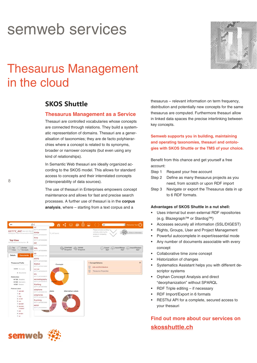# semweb services



# Thesaurus Management in the cloud

# **SKOS Shuttle**

## **Thesaurus Management as a Service**

Thesauri are controlled vocabularies whose concepts are connected through relations. They build a systematic representation of domains. Thesauri are a generalisation of taxonomies; they are de facto polyhierarchies where a concept is related to its synonyms, broader or narrower concepts (but even using any kind of relationships).

In Semantic Web thesauri are ideally organized according to the SKOS model. This allows for standard access to concepts and their interrelated concepts (interoperability of data sources).

The use of thesauri in Enterprises empowers concept maintenance and allows for fast and precise search processes. A further use of thesauri is in the **corpus analysis**, where – starting from a text corpus and a

| en                                                                                                                 | $\mathbf{y}$<br>xsi                                                                                                                    |                                 | $n \leq \circ \circ \circ \circ \iff$   | len                                                                                         | Welcome You! (')                   |
|--------------------------------------------------------------------------------------------------------------------|----------------------------------------------------------------------------------------------------------------------------------------|---------------------------------|-----------------------------------------|---------------------------------------------------------------------------------------------|------------------------------------|
| <b>GETTY_AAT</b> show (ent) http://v<br>blazograph. Tittes://ch.semweb.ch/0000                                     | DETTY_AAP300369201<br>Ximba<br>DETTY AAT300203791                                                                                      | TV_AAT/spard                    |                                         | Please consider scrolling<br>vertically, widening the<br>window or increasing<br>resolution | Drop a message                     |
| <b>Top View</b><br>Set browser on this topying *                                                                   | Xinle<br>DETTY, AAT 200264105<br>xwl<br>DETTY_AAT300385533                                                                             |                                 |                                         |                                                                                             |                                    |
| $\sqrt{q}$<br>Orphan<br>V View<br>Concepts                                                                         | <b>XML</b><br>GETTY_AAT300266654                                                                                                       | Download<br>Snapshot            | <b>Sex Upload</b><br><b>Co</b> Snapshot |                                                                                             | Export ComportMerge ComportReplace |
| <b>Documents</b><br><b>Details</b>                                                                                 | xie<br>BETTY AATOODB1368<br><b>XRPD</b>                                                                                                |                                 |                                         |                                                                                             |                                    |
| Thesaurus Profile                                                                                                  | GETTY_AAT300376689<br>Xiaotun<br>DETTY_AAT300120088                                                                                    | Concepts                        | U                                       | 1 Concept Scheme<br>Arts and Architecture                                                   | ÷                                  |
| <b>40'578</b> Concepts<br>O Documents                                                                              | xomse<br>DETTY_AAT300263478<br>xkv                                                                                                     | <b>Droadwrs</b>                 |                                         | Thesaurus Properties                                                                        |                                    |
| Relationships:                                                                                                     | GETTY_AAT200308579                                                                                                                     |                                 |                                         |                                                                                             |                                    |
| 44°199 Broaders                                                                                                    | xeroradiography                                                                                                                        |                                 |                                         |                                                                                             |                                    |
| <b>44'356</b> Narrowers                                                                                            | DETTY_AAF300225018                                                                                                                     | <b><i><u>ANTIBORITY</u></i></b> |                                         |                                                                                             |                                    |
| 16'357 Related                                                                                                     | Xianfeng<br>DETTY_AAT30001BASE                                                                                                         |                                 |                                         |                                                                                             |                                    |
| Preferred Labels:<br>1 asb-latn<br>1.4k<br>1.002<br>2 ar-lats<br>$2$ aus<br>1 ben-latn<br>3 ber-late-<br>x-dialect | xylophone<br>DETTY_AAT300S41976<br>xylophones<br>GETTY_AA7.300041978<br>Xuantong<br>GETTY_AAT300016498<br>nonex<br>GETTY_AAT.000380341 | Alternative Labels<br>abels     |                                         |                                                                                             |                                    |
| 1 bnt                                                                                                              |                                                                                                                                        |                                 |                                         |                                                                                             |                                    |
|                                                                                                                    |                                                                                                                                        |                                 |                                         |                                                                                             |                                    |

thesaurus – relevant information on term frequency, distribution and potentially new concepts for the same thesaurus are computed. Furthermore thesauri allow in linked data spaces the precise interlinking between key concepts.

**Semweb supports you in building, maintaining and operating taxonomies, thesauri and ontologies with SKOS Shuttle or the TMS of your choice.**

Benefit from this chance and get yourself a free account:

- Step 1 Request your free account
- Step 2 Define as many thesaurus projects as you need, from scratch or upon RDF import
- Step 3 Navigate or export the Thesaurus data in up to 6 RDF formats.

### **Advantages of SKOS Shuttle in a nut shell:**

- Uses internal but even external RDF repositories (e.g. Blazegraph™ or Stardog™)
- Accesses securely all information (SSL/DIGEST)
- Rights, Groups, User and Project Management
- Powerful autocomplete in expert/essential mode
- Any number of documents associable with every concept
- Collaborative time zone concept
- Historization of changes
- Systematics Assistant helps you with different descriptor systems
- **Orphan Concept Analysis and direct** "deorphanization" without SPARQL
- RDF Triple editing if necessary
- RDF Import/Export in 6 formats
- RESTful API for a complete, secured access to your thesauri

**Find out more about our services on skosshuttle.ch**

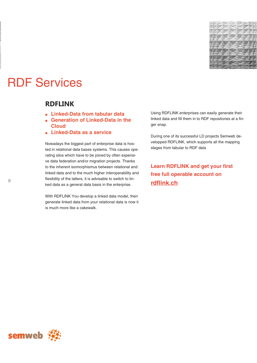

# RDF Services

# **RDFLINK**

- **Linked-Data from tabular data**
- **Generation of Linked-Data in the Cloud**
- **Linked-Data as a service**

Nowadays the biggest part of enterprise data is hosted in relational data bases systems. This causes operating silos which have to be joined by often expensive data federation and/or migration projects. Thanks to the inherent isomorphismus between relational and linked data and to the much higher interoperability and flexibility of the latters, it is advisable to switch to linked data as a general data basis in the enterprise.

With RDFLINK You develop a linked data model, then generate linked data from your relational data is now it is much more like a cakewalk.

Using RDFLINK enterprises can easily generate their linked data and fill them in to RDF repositories at a finger snap.

During one of its successful LD projects Semweb developped RDFLINK, which supports all the mapping stages from tabular to RDF data

**Learn RDFLINK and get your first free full operable account on rdflink.ch** 

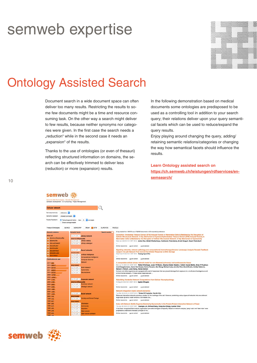# semweb expertise



# Ontology Assisted Search

Document search in a wide document space can often deliver too many results. Restricting the results to some few documents might be a time and resource consuming task. On the other way a search might deliver to few results, because neither synonyms nor categories were given. In the first case the search needs a "reduction" while in the second case it needs an "expansion" of the results.

Thanks to the use of ontologies (or even of thesauri) reflecting structured information on domains, the search can be effectively trimmed to deliver less (reduction) or more (expansion) results.

In the following demonstration based on medical documents some ontologies are predisposed to be used as a controlling tool in addition to your search query; their relations deliver upon your query semantical facets which can be used to reduce/expand the query results.

Enjoy playing around changing the query, adding/ retaining semantic relations/categories or changing the way how semantical facets should influence the results.

**Learn Ontology assisted search on https://ch.semweb.ch/leistungen/rdfservices/ensemsearch/** 



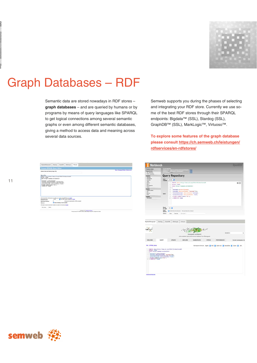# Graph Databases – RDF

Semantic data are stored nowadays in RDF stores – **graph databases** – and are queried by humans or by programs by means of query languages like SPARQL to get logical connections among several semantic graphs or even among different semantic databases, giving a method to access data and meaning across several data sources.

Semweb supports you during the phases of selecting and integrating your RDF store. Currently we use some of the best RDF stores through their SPARQL endpoints: Bigdata™ (SSL), Stardog (SSL), GraphDB™ (SSL), MarkLogic™, Virtuoso™.

**To explore some features of the graph database please consult https://ch.semweb.ch/leistungen/ rdfservices/en-rdfstores/** 

Workbencl

| Default Data Set Name (Grash Wi)                                                                                                                                                               |                                        |                                                                                            | Allow   Harmour Fretage   Interesse subst |
|------------------------------------------------------------------------------------------------------------------------------------------------------------------------------------------------|----------------------------------------|--------------------------------------------------------------------------------------------|-------------------------------------------|
| Query Text                                                                                                                                                                                     |                                        |                                                                                            |                                           |
| FRAZIE about things / /www.w).org/2004/32/about porcelly<br>anlact foams<br>from <http: euroud="" senweb.ch=""><br/>Jooncept a shoe-Concept.<br/>Froncept skowsprefiabel "economy"Bec.</http:> |                                        |                                                                                            |                                           |
| Frelatedconcept skos:prefiabel frame.<br>FILTER (LANG) TRANSCH'AN'T.<br>I CROSS BY TAARN                                                                                                       | frelatadooncept shoatralated founcept. |                                                                                            |                                           |
|                                                                                                                                                                                                |                                        | Decrity mentions of the server do not after you to retrieve remote RDF door, new streets.) |                                           |
| <b>Basiles Former</b>                                                                                                                                                                          | after.                                 | The CRRS supports should are should                                                        |                                           |
| Execution timenut:                                                                                                                                                                             |                                        | millescores indust his due (200 per grand)                                                 |                                           |
| Clerkene                                                                                                                                                                                       | El Series chacking of used earlables   |                                                                                            |                                           |
| The must can set be sent but to insures net some an the senter, we dended                                                                                                                      |                                        |                                                                                            |                                           |

|                                                                                                                                                                      |                                                                                  |                                                                                                                                                    |                                                                                                                                                                                                      | <b>CY'S</b><br>dwar                                                               |         |                                                                               |        |                       |
|----------------------------------------------------------------------------------------------------------------------------------------------------------------------|----------------------------------------------------------------------------------|----------------------------------------------------------------------------------------------------------------------------------------------------|------------------------------------------------------------------------------------------------------------------------------------------------------------------------------------------------------|-----------------------------------------------------------------------------------|---------|-------------------------------------------------------------------------------|--------|-----------------------|
| <b>Selete repository</b><br>Explore:                                                                                                                                 |                                                                                  | <b>Query Repository</b>                                                                                                                            |                                                                                                                                                                                                      |                                                                                   |         |                                                                               |        |                       |
| Summary<br><b>Remeigaces</b><br>Contests<br>Types                                                                                                                    | Query<br>Linguage                                                                | SPANSL E                                                                                                                                           |                                                                                                                                                                                                      |                                                                                   |         |                                                                               |        |                       |
| Explore<br>Gerry<br>Sered Guertes<br>Export<br><b>Modify</b><br>SPARCE, Unidate<br><b>HA</b><br><b>Returns</b><br><b>Case</b><br><b>System</b><br><b>Information</b> | Query:                                                                           | x<br>select frame<br>x<br>$4 \times 4$<br>$\mathbb{R}^2$<br>×<br>×<br>13   LINCOLN BY 71404                                                        | from<br><br>Jouncept a showrdownest.<br>renneept samesprufiabel "economy"8en.<br>7relatedconcept showrrelated Poscosyt.<br>1 : ?relatedconcept showsprefishel Tnane,<br>P FILTER (LANG(FRAME)='en'). | 1 PREFIX whose whitp://www.wl.nrg/2004/02/shos/coroFr                             |         |                                                                               |        | 4.55                  |
|                                                                                                                                                                      | <b>Results</b><br>per page:<br><b>Action</b><br><b>Options</b><br><b>Actions</b> | 100 B<br><b>Conculte</b><br>Cast                                                                                                                   | El babale inferred statements - Reve privately (de not share)<br>Sara quarty                                                                                                                         |                                                                                   |         |                                                                               |        |                       |
| Bigdata/Blazegraph<br>Stanbog<br><b>Ingraph</b>                                                                                                                      | GreenDB                                                                          | MarkLogic                                                                                                                                          | Virtuoso                                                                                                                                                                                             |                                                                                   | $+ - 1$ |                                                                               |        |                       |
|                                                                                                                                                                      |                                                                                  |                                                                                                                                                    |                                                                                                                                                                                                      | blazegraph workbench<br>utra-scalable, high-performance database from Blazegraph. |         |                                                                               | SEARCH | $\alpha$              |
| WELCOME                                                                                                                                                              | QUERY                                                                            | <b>UPDATE</b>                                                                                                                                      | EXPLORE                                                                                                                                                                                              | <b>NAMESPACES</b>                                                                 | STATUS  | <b>PERFORMANCE</b>                                                            |        | Current namespace: kb |
| Wat - SPARCE, Quary                                                                                                                                                  |                                                                                  |                                                                                                                                                    |                                                                                                                                                                                                      |                                                                                   |         | Nemetpace shortcular: Bigdala & W3C & Duble-Core & Securitiew & Custom & Ltd. |        |                       |
| FREEZ about OAtg (//ww.vd.org/2006/32/abox/coreF)<br>select Toxne<br>from<br><br>Touncept a showrdunderyl.<br>Touncept showrprefishel "wooning"Pes-                  |                                                                                  | TraintedConcept showrrelated Proceept,<br>TraintedConcept showrprefields1 Press,<br>Triffic (Concept showrprefields1 Press,<br>II ) Deces at Press |                                                                                                                                                                                                      |                                                                                   |         |                                                                               |        |                       |